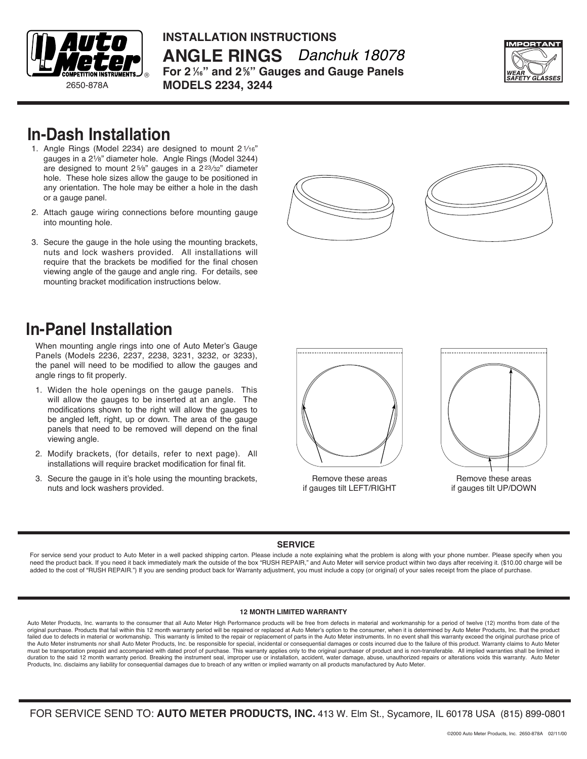

**INSTALLATION INSTRUCTIONS ANGLE RINGS** *Danchuk 18078* **For 2 <sup>1</sup> ⁄16" and 25 ⁄8" Gauges and Gauge Panels MODELS 2234, 3244**



### **In-Dash Installation**

- 1. Angle Rings (Model 2234) are designed to mount  $2\frac{1}{16}$ " gauges in a 21⁄8" diameter hole. Angle Rings (Model 3244) are designed to mount 25/8" gauges in a 223/32" diameter hole. These hole sizes allow the gauge to be positioned in any orientation. The hole may be either a hole in the dash or a gauge panel.
- 2. Attach gauge wiring connections before mounting gauge into mounting hole.
- 3. Secure the gauge in the hole using the mounting brackets, nuts and lock washers provided. All installations will require that the brackets be modified for the final chosen viewing angle of the gauge and angle ring. For details, see mounting bracket modification instructions below.





## **In-Panel Installation**

When mounting angle rings into one of Auto Meter's Gauge Panels (Models 2236, 2237, 2238, 3231, 3232, or 3233), the panel will need to be modified to allow the gauges and angle rings to fit properly.

- 1. Widen the hole openings on the gauge panels. This will allow the gauges to be inserted at an angle. The modifications shown to the right will allow the gauges to be angled left, right, up or down. The area of the gauge panels that need to be removed will depend on the final viewing angle.
- 2. Modify brackets, (for details, refer to next page). All installations will require bracket modification for final fit.
- 3. Secure the gauge in it's hole using the mounting brackets, nuts and lock washers provided.



Remove these areas if gauges tilt LEFT/RIGHT



Remove these areas if gauges tilt UP/DOWN

#### **SERVICE**

For service send your product to Auto Meter in a well packed shipping carton. Please include a note explaining what the problem is along with your phone number. Please specify when you need the product back. If you need it back immediately mark the outside of the box "RUSH REPAIR," and Auto Meter will service product within two days after receiving it. (\$10.00 charge will be added to the cost of "RUSH REPAIR.") If you are sending product back for Warranty adjustment, you must include a copy (or original) of your sales receipt from the place of purchase.

#### **12 MONTH LIMITED WARRANTY**

Auto Meter Products, Inc. warrants to the consumer that all Auto Meter High Performance products will be free from defects in material and workmanship for a period of twelve (12) months from date of the original purchase. Products that fail within this 12 month warranty period will be repaired or replaced at Auto Meter's option to the consumer, when it is determined by Auto Meter Products, Inc. that the product failed due to defects in material or workmanship. This warranty is limited to the repair or replacement of parts in the Auto Meter instruments. In no event shall this warranty exceed the original purchase price of the Auto Meter instruments nor shall Auto Meter Products, Inc. be responsible for special, incidental or consequential damages or costs incurred due to the failure of this product. Warranty claims to Auto Meter<br>must be tra duration to the said 12 month warranty period. Breaking the instrument seal, improper use or installation, accident, water damage, abuse, unauthorized repairs or alterations voids this warranty. Auto Meter Products, Inc. disclaims any liability for consequential damages due to breach of any written or implied warranty on all products manufactured by Auto Meter.

FOR SERVICE SEND TO: **AUTO METER PRODUCTS, INC.** 413 W. Elm St., Sycamore, IL 60178 USA (815) 899-0801